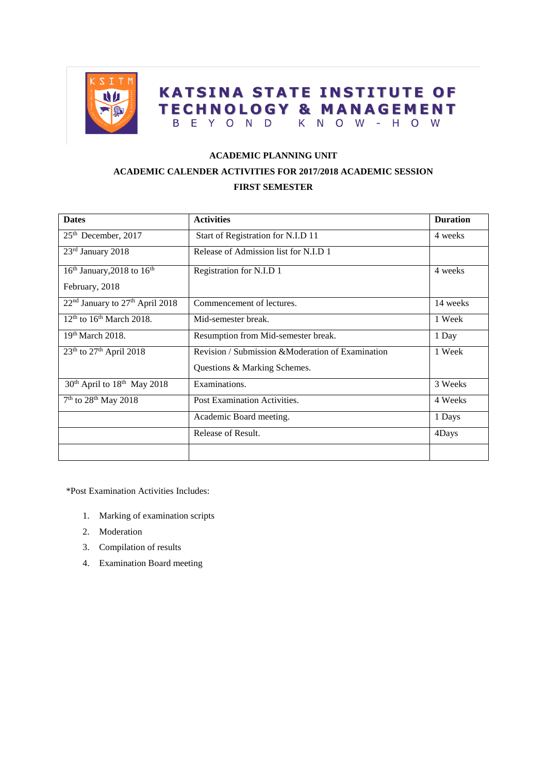

## **KATSINA STATE INSTITUTE OF TECHNOLOGY & MANAGEMENT** B E Y O N D K N O W - H O W

## **ACADEMIC PLANNING UNIT**

## **ACADEMIC CALENDER ACTIVITIES FOR 2017/2018 ACADEMIC SESSION FIRST SEMESTER**

| <b>Dates</b>                                            | <b>Activities</b>                                 | <b>Duration</b> |
|---------------------------------------------------------|---------------------------------------------------|-----------------|
| $25th$ December, 2017                                   | Start of Registration for N.I.D 11                | 4 weeks         |
| $23rd$ January 2018                                     | Release of Admission list for N.I.D 1             |                 |
| $16th$ January, 2018 to $16th$                          | Registration for N.I.D 1                          | 4 weeks         |
| February, 2018                                          |                                                   |                 |
| 22 <sup>nd</sup> January to 27 <sup>th</sup> April 2018 | Commencement of lectures.                         | 14 weeks        |
| $12th$ to $16th$ March 2018.                            | Mid-semester break.                               | 1 Week          |
| 19th March 2018.                                        | Resumption from Mid-semester break.               | 1 Day           |
| $23th$ to $27th$ April 2018                             | Revision / Submission & Moderation of Examination | 1 Week          |
|                                                         | Questions & Marking Schemes.                      |                 |
| 30 <sup>th</sup> April to 18 <sup>th</sup> May 2018     | Examinations.                                     | 3 Weeks         |
| 7 <sup>th</sup> to 28 <sup>th</sup> May 2018            | Post Examination Activities.                      | 4 Weeks         |
|                                                         | Academic Board meeting.                           | 1 Days          |
|                                                         | Release of Result.                                | 4Days           |
|                                                         |                                                   |                 |

\*Post Examination Activities Includes:

- 1. Marking of examination scripts
- 2. Moderation
- 3. Compilation of results
- 4. Examination Board meeting